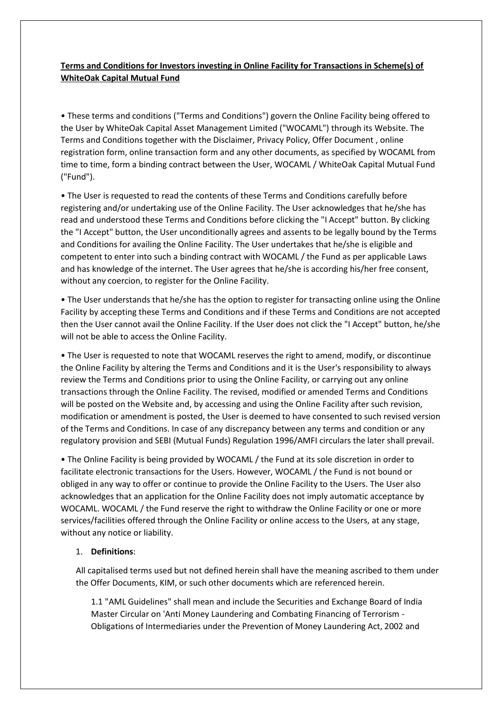# **Terms and Conditions for Investors investing in Online Facility for Transactions in Scheme(s) of WhiteOak Capital Mutual Fund**

• These terms and conditions ("Terms and Conditions") govern the Online Facility being offered to the User by WhiteOak Capital Asset Management Limited ("WOCAML") through its Website. The Terms and Conditions together with the Disclaimer, Privacy Policy, Offer Document , online registration form, online transaction form and any other documents, as specified by WOCAML from time to time, form a binding contract between the User, WOCAML / WhiteOak Capital Mutual Fund ("Fund").

• The User is requested to read the contents of these Terms and Conditions carefully before registering and/or undertaking use of the Online Facility. The User acknowledges that he/she has read and understood these Terms and Conditions before clicking the "I Accept" button. By clicking the "I Accept" button, the User unconditionally agrees and assents to be legally bound by the Terms and Conditions for availing the Online Facility. The User undertakes that he/she is eligible and competent to enter into such a binding contract with WOCAML / the Fund as per applicable Laws and has knowledge of the internet. The User agrees that he/she is according his/her free consent, without any coercion, to register for the Online Facility.

• The User understands that he/she has the option to register for transacting online using the Online Facility by accepting these Terms and Conditions and if these Terms and Conditions are not accepted then the User cannot avail the Online Facility. If the User does not click the "I Accept" button, he/she will not be able to access the Online Facility.

• The User is requested to note that WOCAML reserves the right to amend, modify, or discontinue the Online Facility by altering the Terms and Conditions and it is the User's responsibility to always review the Terms and Conditions prior to using the Online Facility, or carrying out any online transactions through the Online Facility. The revised, modified or amended Terms and Conditions will be posted on the Website and, by accessing and using the Online Facility after such revision, modification or amendment is posted, the User is deemed to have consented to such revised version of the Terms and Conditions. In case of any discrepancy between any terms and condition or any regulatory provision and SEBI (Mutual Funds) Regulation 1996/AMFI circulars the later shall prevail.

• The Online Facility is being provided by WOCAML / the Fund at its sole discretion in order to facilitate electronic transactions for the Users. However, WOCAML / the Fund is not bound or obliged in any way to offer or continue to provide the Online Facility to the Users. The User also acknowledges that an application for the Online Facility does not imply automatic acceptance by WOCAML. WOCAML / the Fund reserve the right to withdraw the Online Facility or one or more services/facilities offered through the Online Facility or online access to the Users, at any stage, without any notice or liability.

## 1. **Definitions**:

All capitalised terms used but not defined herein shall have the meaning ascribed to them under the Offer Documents, KIM, or such other documents which are referenced herein.

1.1 "AML Guidelines" shall mean and include the Securities and Exchange Board of India Master Circular on 'Anti Money Laundering and Combating Financing of Terrorism - Obligations of Intermediaries under the Prevention of Money Laundering Act, 2002 and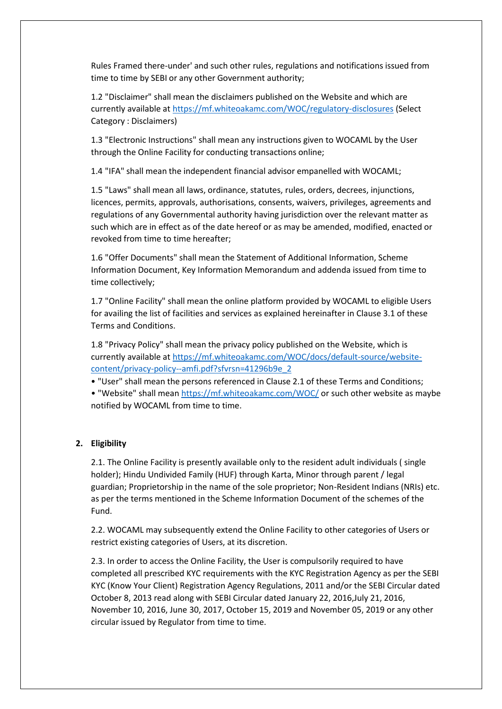Rules Framed there-under' and such other rules, regulations and notifications issued from time to time by SEBI or any other Government authority;

1.2 "Disclaimer" shall mean the disclaimers published on the Website and which are currently available at <https://mf.whiteoakamc.com/WOC/regulatory-disclosures> (Select Category : Disclaimers)

1.3 "Electronic Instructions" shall mean any instructions given to WOCAML by the User through the Online Facility for conducting transactions online;

1.4 "IFA" shall mean the independent financial advisor empanelled with WOCAML;

1.5 "Laws" shall mean all laws, ordinance, statutes, rules, orders, decrees, injunctions, licences, permits, approvals, authorisations, consents, waivers, privileges, agreements and regulations of any Governmental authority having jurisdiction over the relevant matter as such which are in effect as of the date hereof or as may be amended, modified, enacted or revoked from time to time hereafter;

1.6 "Offer Documents" shall mean the Statement of Additional Information, Scheme Information Document, Key Information Memorandum and addenda issued from time to time collectively;

1.7 "Online Facility" shall mean the online platform provided by WOCAML to eligible Users for availing the list of facilities and services as explained hereinafter in Clause 3.1 of these Terms and Conditions.

1.8 "Privacy Policy" shall mean the privacy policy published on the Website, which is currently available at [https://mf.whiteoakamc.com/WOC/docs/default-source/website](https://mf.whiteoakamc.com/WOC/docs/default-source/website-content/privacy-policy--amfi.pdf?sfvrsn=41296b9e_2)[content/privacy-policy--amfi.pdf?sfvrsn=41296b9e\\_2](https://mf.whiteoakamc.com/WOC/docs/default-source/website-content/privacy-policy--amfi.pdf?sfvrsn=41296b9e_2)

• "User" shall mean the persons referenced in Clause 2.1 of these Terms and Conditions;

• "Website" shall mean <https://mf.whiteoakamc.com/WOC/> or such other website as maybe notified by WOCAML from time to time.

## **2. Eligibility**

2.1. The Online Facility is presently available only to the resident adult individuals ( single holder); Hindu Undivided Family (HUF) through Karta, Minor through parent / legal guardian; Proprietorship in the name of the sole proprietor; Non-Resident Indians (NRIs) etc. as per the terms mentioned in the Scheme Information Document of the schemes of the Fund.

2.2. WOCAML may subsequently extend the Online Facility to other categories of Users or restrict existing categories of Users, at its discretion.

2.3. In order to access the Online Facility, the User is compulsorily required to have completed all prescribed KYC requirements with the KYC Registration Agency as per the SEBI KYC (Know Your Client) Registration Agency Regulations, 2011 and/or the SEBI Circular dated October 8, 2013 read along with SEBI Circular dated January 22, 2016,July 21, 2016, November 10, 2016, June 30, 2017, October 15, 2019 and November 05, 2019 or any other circular issued by Regulator from time to time.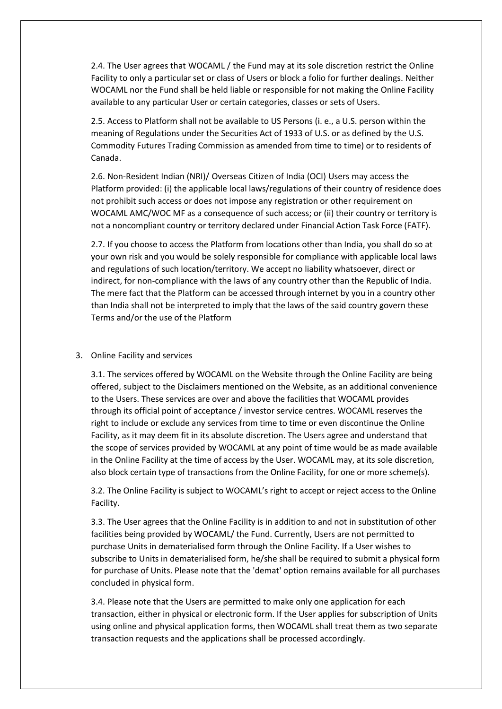2.4. The User agrees that WOCAML / the Fund may at its sole discretion restrict the Online Facility to only a particular set or class of Users or block a folio for further dealings. Neither WOCAML nor the Fund shall be held liable or responsible for not making the Online Facility available to any particular User or certain categories, classes or sets of Users.

2.5. Access to Platform shall not be available to US Persons (i. e., a U.S. person within the meaning of Regulations under the Securities Act of 1933 of U.S. or as defined by the U.S. Commodity Futures Trading Commission as amended from time to time) or to residents of Canada.

2.6. Non-Resident Indian (NRI)/ Overseas Citizen of India (OCI) Users may access the Platform provided: (i) the applicable local laws/regulations of their country of residence does not prohibit such access or does not impose any registration or other requirement on WOCAML AMC/WOC MF as a consequence of such access; or (ii) their country or territory is not a noncompliant country or territory declared under Financial Action Task Force (FATF).

2.7. If you choose to access the Platform from locations other than India, you shall do so at your own risk and you would be solely responsible for compliance with applicable local laws and regulations of such location/territory. We accept no liability whatsoever, direct or indirect, for non-compliance with the laws of any country other than the Republic of India. The mere fact that the Platform can be accessed through internet by you in a country other than India shall not be interpreted to imply that the laws of the said country govern these Terms and/or the use of the Platform

### 3. Online Facility and services

3.1. The services offered by WOCAML on the Website through the Online Facility are being offered, subject to the Disclaimers mentioned on the Website, as an additional convenience to the Users. These services are over and above the facilities that WOCAML provides through its official point of acceptance / investor service centres. WOCAML reserves the right to include or exclude any services from time to time or even discontinue the Online Facility, as it may deem fit in its absolute discretion. The Users agree and understand that the scope of services provided by WOCAML at any point of time would be as made available in the Online Facility at the time of access by the User. WOCAML may, at its sole discretion, also block certain type of transactions from the Online Facility, for one or more scheme(s).

3.2. The Online Facility is subject to WOCAML's right to accept or reject access to the Online Facility.

3.3. The User agrees that the Online Facility is in addition to and not in substitution of other facilities being provided by WOCAML/ the Fund. Currently, Users are not permitted to purchase Units in dematerialised form through the Online Facility. If a User wishes to subscribe to Units in dematerialised form, he/she shall be required to submit a physical form for purchase of Units. Please note that the 'demat' option remains available for all purchases concluded in physical form.

3.4. Please note that the Users are permitted to make only one application for each transaction, either in physical or electronic form. If the User applies for subscription of Units using online and physical application forms, then WOCAML shall treat them as two separate transaction requests and the applications shall be processed accordingly.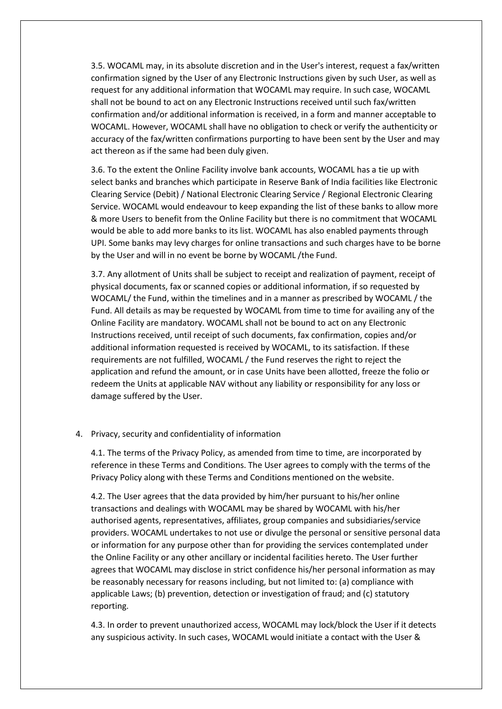3.5. WOCAML may, in its absolute discretion and in the User's interest, request a fax/written confirmation signed by the User of any Electronic Instructions given by such User, as well as request for any additional information that WOCAML may require. In such case, WOCAML shall not be bound to act on any Electronic Instructions received until such fax/written confirmation and/or additional information is received, in a form and manner acceptable to WOCAML. However, WOCAML shall have no obligation to check or verify the authenticity or accuracy of the fax/written confirmations purporting to have been sent by the User and may act thereon as if the same had been duly given.

3.6. To the extent the Online Facility involve bank accounts, WOCAML has a tie up with select banks and branches which participate in Reserve Bank of India facilities like Electronic Clearing Service (Debit) / National Electronic Clearing Service / Regional Electronic Clearing Service. WOCAML would endeavour to keep expanding the list of these banks to allow more & more Users to benefit from the Online Facility but there is no commitment that WOCAML would be able to add more banks to its list. WOCAML has also enabled payments through UPI. Some banks may levy charges for online transactions and such charges have to be borne by the User and will in no event be borne by WOCAML /the Fund.

3.7. Any allotment of Units shall be subject to receipt and realization of payment, receipt of physical documents, fax or scanned copies or additional information, if so requested by WOCAML/ the Fund, within the timelines and in a manner as prescribed by WOCAML / the Fund. All details as may be requested by WOCAML from time to time for availing any of the Online Facility are mandatory. WOCAML shall not be bound to act on any Electronic Instructions received, until receipt of such documents, fax confirmation, copies and/or additional information requested is received by WOCAML, to its satisfaction. If these requirements are not fulfilled, WOCAML / the Fund reserves the right to reject the application and refund the amount, or in case Units have been allotted, freeze the folio or redeem the Units at applicable NAV without any liability or responsibility for any loss or damage suffered by the User.

### 4. Privacy, security and confidentiality of information

4.1. The terms of the Privacy Policy, as amended from time to time, are incorporated by reference in these Terms and Conditions. The User agrees to comply with the terms of the Privacy Policy along with these Terms and Conditions mentioned on the website.

4.2. The User agrees that the data provided by him/her pursuant to his/her online transactions and dealings with WOCAML may be shared by WOCAML with his/her authorised agents, representatives, affiliates, group companies and subsidiaries/service providers. WOCAML undertakes to not use or divulge the personal or sensitive personal data or information for any purpose other than for providing the services contemplated under the Online Facility or any other ancillary or incidental facilities hereto. The User further agrees that WOCAML may disclose in strict confidence his/her personal information as may be reasonably necessary for reasons including, but not limited to: (a) compliance with applicable Laws; (b) prevention, detection or investigation of fraud; and (c) statutory reporting.

4.3. In order to prevent unauthorized access, WOCAML may lock/block the User if it detects any suspicious activity. In such cases, WOCAML would initiate a contact with the User &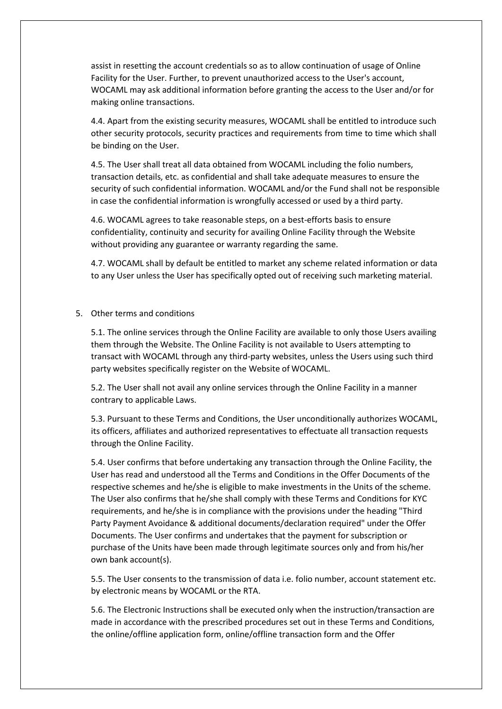assist in resetting the account credentials so as to allow continuation of usage of Online Facility for the User. Further, to prevent unauthorized access to the User's account, WOCAML may ask additional information before granting the access to the User and/or for making online transactions.

4.4. Apart from the existing security measures, WOCAML shall be entitled to introduce such other security protocols, security practices and requirements from time to time which shall be binding on the User.

4.5. The User shall treat all data obtained from WOCAML including the folio numbers, transaction details, etc. as confidential and shall take adequate measures to ensure the security of such confidential information. WOCAML and/or the Fund shall not be responsible in case the confidential information is wrongfully accessed or used by a third party.

4.6. WOCAML agrees to take reasonable steps, on a best-efforts basis to ensure confidentiality, continuity and security for availing Online Facility through the Website without providing any guarantee or warranty regarding the same.

4.7. WOCAML shall by default be entitled to market any scheme related information or data to any User unless the User has specifically opted out of receiving such marketing material.

5. Other terms and conditions

5.1. The online services through the Online Facility are available to only those Users availing them through the Website. The Online Facility is not available to Users attempting to transact with WOCAML through any third-party websites, unless the Users using such third party websites specifically register on the Website of WOCAML.

5.2. The User shall not avail any online services through the Online Facility in a manner contrary to applicable Laws.

5.3. Pursuant to these Terms and Conditions, the User unconditionally authorizes WOCAML, its officers, affiliates and authorized representatives to effectuate all transaction requests through the Online Facility.

5.4. User confirms that before undertaking any transaction through the Online Facility, the User has read and understood all the Terms and Conditions in the Offer Documents of the respective schemes and he/she is eligible to make investments in the Units of the scheme. The User also confirms that he/she shall comply with these Terms and Conditions for KYC requirements, and he/she is in compliance with the provisions under the heading "Third Party Payment Avoidance & additional documents/declaration required" under the Offer Documents. The User confirms and undertakes that the payment for subscription or purchase of the Units have been made through legitimate sources only and from his/her own bank account(s).

5.5. The User consents to the transmission of data i.e. folio number, account statement etc. by electronic means by WOCAML or the RTA.

5.6. The Electronic Instructions shall be executed only when the instruction/transaction are made in accordance with the prescribed procedures set out in these Terms and Conditions, the online/offline application form, online/offline transaction form and the Offer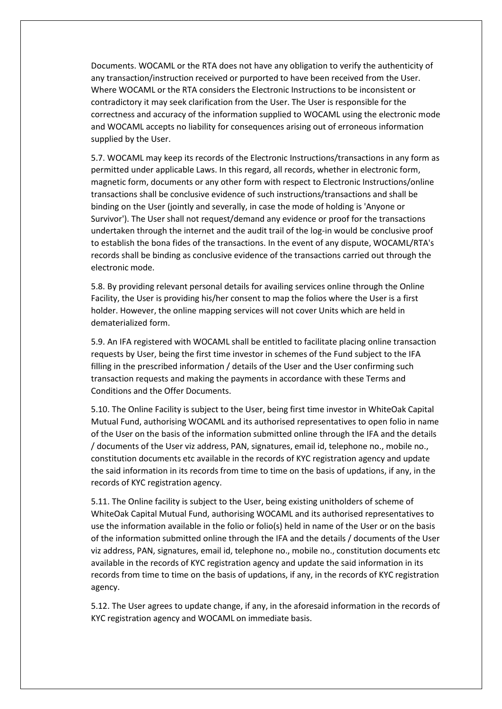Documents. WOCAML or the RTA does not have any obligation to verify the authenticity of any transaction/instruction received or purported to have been received from the User. Where WOCAML or the RTA considers the Electronic Instructions to be inconsistent or contradictory it may seek clarification from the User. The User is responsible for the correctness and accuracy of the information supplied to WOCAML using the electronic mode and WOCAML accepts no liability for consequences arising out of erroneous information supplied by the User.

5.7. WOCAML may keep its records of the Electronic Instructions/transactions in any form as permitted under applicable Laws. In this regard, all records, whether in electronic form, magnetic form, documents or any other form with respect to Electronic Instructions/online transactions shall be conclusive evidence of such instructions/transactions and shall be binding on the User (jointly and severally, in case the mode of holding is 'Anyone or Survivor'). The User shall not request/demand any evidence or proof for the transactions undertaken through the internet and the audit trail of the log-in would be conclusive proof to establish the bona fides of the transactions. In the event of any dispute, WOCAML/RTA's records shall be binding as conclusive evidence of the transactions carried out through the electronic mode.

5.8. By providing relevant personal details for availing services online through the Online Facility, the User is providing his/her consent to map the folios where the User is a first holder. However, the online mapping services will not cover Units which are held in dematerialized form.

5.9. An IFA registered with WOCAML shall be entitled to facilitate placing online transaction requests by User, being the first time investor in schemes of the Fund subject to the IFA filling in the prescribed information / details of the User and the User confirming such transaction requests and making the payments in accordance with these Terms and Conditions and the Offer Documents.

5.10. The Online Facility is subject to the User, being first time investor in WhiteOak Capital Mutual Fund, authorising WOCAML and its authorised representatives to open folio in name of the User on the basis of the information submitted online through the IFA and the details / documents of the User viz address, PAN, signatures, email id, telephone no., mobile no., constitution documents etc available in the records of KYC registration agency and update the said information in its records from time to time on the basis of updations, if any, in the records of KYC registration agency.

5.11. The Online facility is subject to the User, being existing unitholders of scheme of WhiteOak Capital Mutual Fund, authorising WOCAML and its authorised representatives to use the information available in the folio or folio(s) held in name of the User or on the basis of the information submitted online through the IFA and the details / documents of the User viz address, PAN, signatures, email id, telephone no., mobile no., constitution documents etc available in the records of KYC registration agency and update the said information in its records from time to time on the basis of updations, if any, in the records of KYC registration agency.

5.12. The User agrees to update change, if any, in the aforesaid information in the records of KYC registration agency and WOCAML on immediate basis.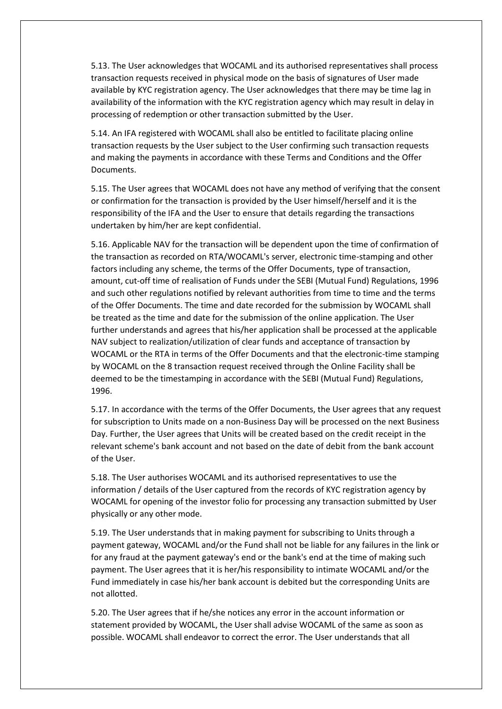5.13. The User acknowledges that WOCAML and its authorised representatives shall process transaction requests received in physical mode on the basis of signatures of User made available by KYC registration agency. The User acknowledges that there may be time lag in availability of the information with the KYC registration agency which may result in delay in processing of redemption or other transaction submitted by the User.

5.14. An IFA registered with WOCAML shall also be entitled to facilitate placing online transaction requests by the User subject to the User confirming such transaction requests and making the payments in accordance with these Terms and Conditions and the Offer Documents.

5.15. The User agrees that WOCAML does not have any method of verifying that the consent or confirmation for the transaction is provided by the User himself/herself and it is the responsibility of the IFA and the User to ensure that details regarding the transactions undertaken by him/her are kept confidential.

5.16. Applicable NAV for the transaction will be dependent upon the time of confirmation of the transaction as recorded on RTA/WOCAML's server, electronic time-stamping and other factors including any scheme, the terms of the Offer Documents, type of transaction, amount, cut-off time of realisation of Funds under the SEBI (Mutual Fund) Regulations, 1996 and such other regulations notified by relevant authorities from time to time and the terms of the Offer Documents. The time and date recorded for the submission by WOCAML shall be treated as the time and date for the submission of the online application. The User further understands and agrees that his/her application shall be processed at the applicable NAV subject to realization/utilization of clear funds and acceptance of transaction by WOCAML or the RTA in terms of the Offer Documents and that the electronic-time stamping by WOCAML on the 8 transaction request received through the Online Facility shall be deemed to be the timestamping in accordance with the SEBI (Mutual Fund) Regulations, 1996.

5.17. In accordance with the terms of the Offer Documents, the User agrees that any request for subscription to Units made on a non-Business Day will be processed on the next Business Day. Further, the User agrees that Units will be created based on the credit receipt in the relevant scheme's bank account and not based on the date of debit from the bank account of the User.

5.18. The User authorises WOCAML and its authorised representatives to use the information / details of the User captured from the records of KYC registration agency by WOCAML for opening of the investor folio for processing any transaction submitted by User physically or any other mode.

5.19. The User understands that in making payment for subscribing to Units through a payment gateway, WOCAML and/or the Fund shall not be liable for any failures in the link or for any fraud at the payment gateway's end or the bank's end at the time of making such payment. The User agrees that it is her/his responsibility to intimate WOCAML and/or the Fund immediately in case his/her bank account is debited but the corresponding Units are not allotted.

5.20. The User agrees that if he/she notices any error in the account information or statement provided by WOCAML, the User shall advise WOCAML of the same as soon as possible. WOCAML shall endeavor to correct the error. The User understands that all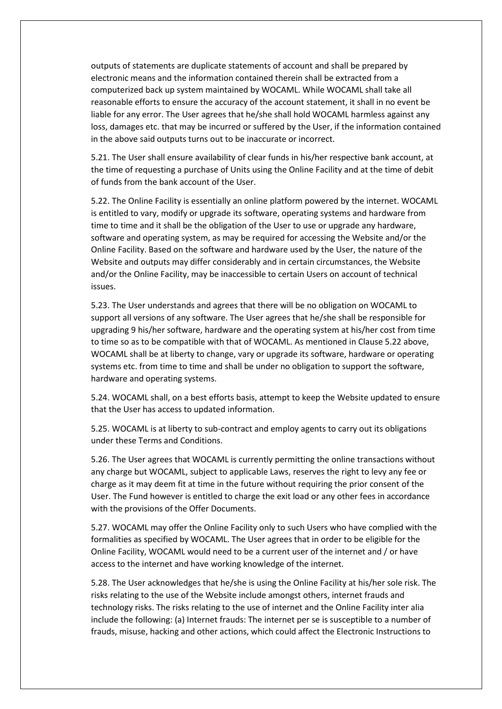outputs of statements are duplicate statements of account and shall be prepared by electronic means and the information contained therein shall be extracted from a computerized back up system maintained by WOCAML. While WOCAML shall take all reasonable efforts to ensure the accuracy of the account statement, it shall in no event be liable for any error. The User agrees that he/she shall hold WOCAML harmless against any loss, damages etc. that may be incurred or suffered by the User, if the information contained in the above said outputs turns out to be inaccurate or incorrect.

5.21. The User shall ensure availability of clear funds in his/her respective bank account, at the time of requesting a purchase of Units using the Online Facility and at the time of debit of funds from the bank account of the User.

5.22. The Online Facility is essentially an online platform powered by the internet. WOCAML is entitled to vary, modify or upgrade its software, operating systems and hardware from time to time and it shall be the obligation of the User to use or upgrade any hardware, software and operating system, as may be required for accessing the Website and/or the Online Facility. Based on the software and hardware used by the User, the nature of the Website and outputs may differ considerably and in certain circumstances, the Website and/or the Online Facility, may be inaccessible to certain Users on account of technical issues.

5.23. The User understands and agrees that there will be no obligation on WOCAML to support all versions of any software. The User agrees that he/she shall be responsible for upgrading 9 his/her software, hardware and the operating system at his/her cost from time to time so as to be compatible with that of WOCAML. As mentioned in Clause 5.22 above, WOCAML shall be at liberty to change, vary or upgrade its software, hardware or operating systems etc. from time to time and shall be under no obligation to support the software, hardware and operating systems.

5.24. WOCAML shall, on a best efforts basis, attempt to keep the Website updated to ensure that the User has access to updated information.

5.25. WOCAML is at liberty to sub-contract and employ agents to carry out its obligations under these Terms and Conditions.

5.26. The User agrees that WOCAML is currently permitting the online transactions without any charge but WOCAML, subject to applicable Laws, reserves the right to levy any fee or charge as it may deem fit at time in the future without requiring the prior consent of the User. The Fund however is entitled to charge the exit load or any other fees in accordance with the provisions of the Offer Documents.

5.27. WOCAML may offer the Online Facility only to such Users who have complied with the formalities as specified by WOCAML. The User agrees that in order to be eligible for the Online Facility, WOCAML would need to be a current user of the internet and / or have access to the internet and have working knowledge of the internet.

5.28. The User acknowledges that he/she is using the Online Facility at his/her sole risk. The risks relating to the use of the Website include amongst others, internet frauds and technology risks. The risks relating to the use of internet and the Online Facility inter alia include the following: (a) Internet frauds: The internet per se is susceptible to a number of frauds, misuse, hacking and other actions, which could affect the Electronic Instructions to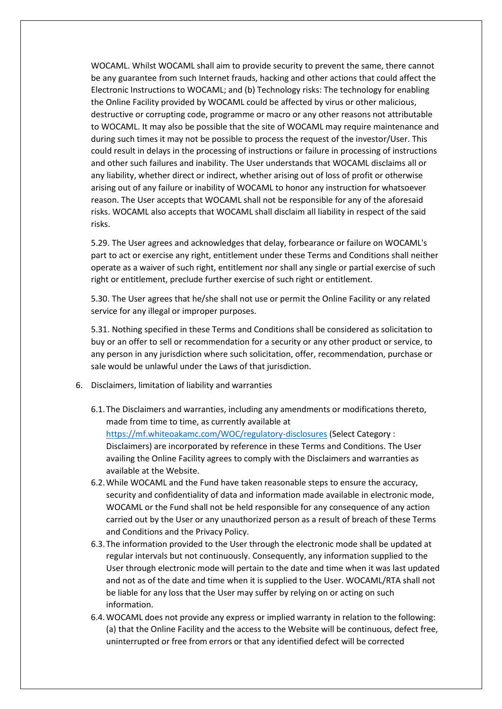WOCAML. Whilst WOCAML shall aim to provide security to prevent the same, there cannot be any guarantee from such Internet frauds, hacking and other actions that could affect the Electronic Instructions to WOCAML; and (b) Technology risks: The technology for enabling the Online Facility provided by WOCAML could be affected by virus or other malicious, destructive or corrupting code, programme or macro or any other reasons not attributable to WOCAML. It may also be possible that the site of WOCAML may require maintenance and during such times it may not be possible to process the request of the investor/User. This could result in delays in the processing of instructions or failure in processing of instructions and other such failures and inability. The User understands that WOCAML disclaims all or any liability, whether direct or indirect, whether arising out of loss of profit or otherwise arising out of any failure or inability of WOCAML to honor any instruction for whatsoever reason. The User accepts that WOCAML shall not be responsible for any of the aforesaid risks. WOCAML also accepts that WOCAML shall disclaim all liability in respect of the said risks.

5.29. The User agrees and acknowledges that delay, forbearance or failure on WOCAML's part to act or exercise any right, entitlement under these Terms and Conditions shall neither operate as a waiver of such right, entitlement nor shall any single or partial exercise of such right or entitlement, preclude further exercise of such right or entitlement.

5.30. The User agrees that he/she shall not use or permit the Online Facility or any related service for any illegal or improper purposes.

5.31. Nothing specified in these Terms and Conditions shall be considered as solicitation to buy or an offer to sell or recommendation for a security or any other product or service, to any person in any jurisdiction where such solicitation, offer, recommendation, purchase or sale would be unlawful under the Laws of that jurisdiction.

- 6. Disclaimers, limitation of liability and warranties
	- 6.1.The Disclaimers and warranties, including any amendments or modifications thereto, made from time to time, as currently available at <https://mf.whiteoakamc.com/WOC/regulatory-disclosures> (Select Category : Disclaimers) are incorporated by reference in these Terms and Conditions. The User availing the Online Facility agrees to comply with the Disclaimers and warranties as available at the Website.
	- 6.2.While WOCAML and the Fund have taken reasonable steps to ensure the accuracy, security and confidentiality of data and information made available in electronic mode, WOCAML or the Fund shall not be held responsible for any consequence of any action carried out by the User or any unauthorized person as a result of breach of these Terms and Conditions and the Privacy Policy.
	- 6.3.The information provided to the User through the electronic mode shall be updated at regular intervals but not continuously. Consequently, any information supplied to the User through electronic mode will pertain to the date and time when it was last updated and not as of the date and time when it is supplied to the User. WOCAML/RTA shall not be liable for any loss that the User may suffer by relying on or acting on such information.
	- 6.4.WOCAML does not provide any express or implied warranty in relation to the following: (a) that the Online Facility and the access to the Website will be continuous, defect free, uninterrupted or free from errors or that any identified defect will be corrected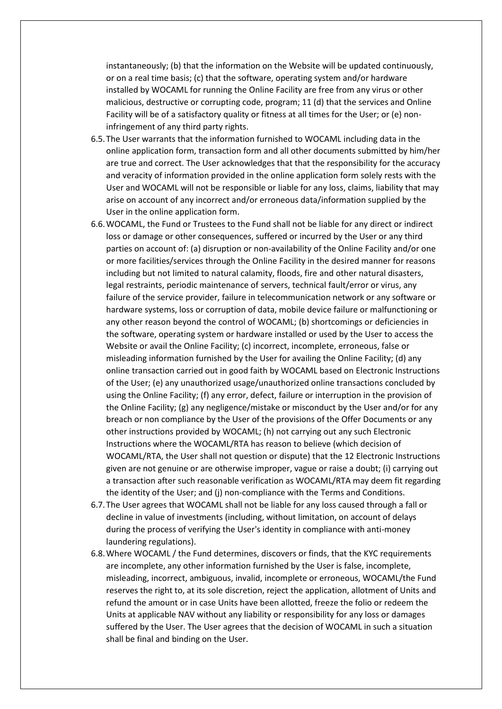instantaneously; (b) that the information on the Website will be updated continuously, or on a real time basis; (c) that the software, operating system and/or hardware installed by WOCAML for running the Online Facility are free from any virus or other malicious, destructive or corrupting code, program; 11 (d) that the services and Online Facility will be of a satisfactory quality or fitness at all times for the User; or (e) noninfringement of any third party rights.

- 6.5.The User warrants that the information furnished to WOCAML including data in the online application form, transaction form and all other documents submitted by him/her are true and correct. The User acknowledges that that the responsibility for the accuracy and veracity of information provided in the online application form solely rests with the User and WOCAML will not be responsible or liable for any loss, claims, liability that may arise on account of any incorrect and/or erroneous data/information supplied by the User in the online application form.
- 6.6.WOCAML, the Fund or Trustees to the Fund shall not be liable for any direct or indirect loss or damage or other consequences, suffered or incurred by the User or any third parties on account of: (a) disruption or non-availability of the Online Facility and/or one or more facilities/services through the Online Facility in the desired manner for reasons including but not limited to natural calamity, floods, fire and other natural disasters, legal restraints, periodic maintenance of servers, technical fault/error or virus, any failure of the service provider, failure in telecommunication network or any software or hardware systems, loss or corruption of data, mobile device failure or malfunctioning or any other reason beyond the control of WOCAML; (b) shortcomings or deficiencies in the software, operating system or hardware installed or used by the User to access the Website or avail the Online Facility; (c) incorrect, incomplete, erroneous, false or misleading information furnished by the User for availing the Online Facility; (d) any online transaction carried out in good faith by WOCAML based on Electronic Instructions of the User; (e) any unauthorized usage/unauthorized online transactions concluded by using the Online Facility; (f) any error, defect, failure or interruption in the provision of the Online Facility; (g) any negligence/mistake or misconduct by the User and/or for any breach or non compliance by the User of the provisions of the Offer Documents or any other instructions provided by WOCAML; (h) not carrying out any such Electronic Instructions where the WOCAML/RTA has reason to believe (which decision of WOCAML/RTA, the User shall not question or dispute) that the 12 Electronic Instructions given are not genuine or are otherwise improper, vague or raise a doubt; (i) carrying out a transaction after such reasonable verification as WOCAML/RTA may deem fit regarding the identity of the User; and (j) non-compliance with the Terms and Conditions.
- 6.7.The User agrees that WOCAML shall not be liable for any loss caused through a fall or decline in value of investments (including, without limitation, on account of delays during the process of verifying the User's identity in compliance with anti-money laundering regulations).
- 6.8.Where WOCAML / the Fund determines, discovers or finds, that the KYC requirements are incomplete, any other information furnished by the User is false, incomplete, misleading, incorrect, ambiguous, invalid, incomplete or erroneous, WOCAML/the Fund reserves the right to, at its sole discretion, reject the application, allotment of Units and refund the amount or in case Units have been allotted, freeze the folio or redeem the Units at applicable NAV without any liability or responsibility for any loss or damages suffered by the User. The User agrees that the decision of WOCAML in such a situation shall be final and binding on the User.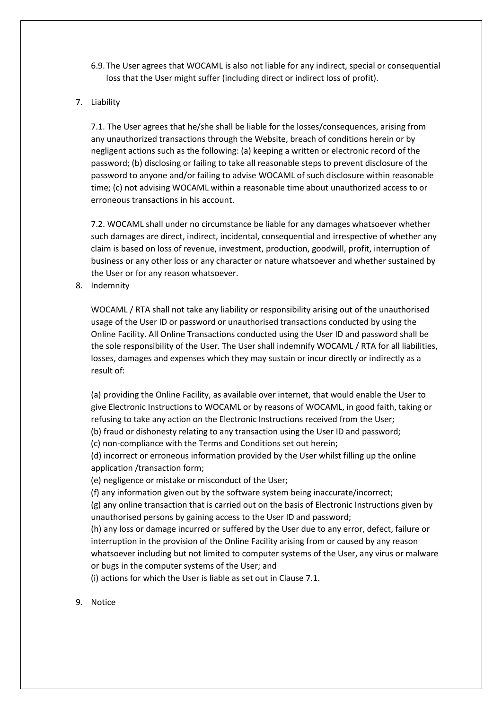- 6.9.The User agrees that WOCAML is also not liable for any indirect, special or consequential loss that the User might suffer (including direct or indirect loss of profit).
- 7. Liability

7.1. The User agrees that he/she shall be liable for the losses/consequences, arising from any unauthorized transactions through the Website, breach of conditions herein or by negligent actions such as the following: (a) keeping a written or electronic record of the password; (b) disclosing or failing to take all reasonable steps to prevent disclosure of the password to anyone and/or failing to advise WOCAML of such disclosure within reasonable time; (c) not advising WOCAML within a reasonable time about unauthorized access to or erroneous transactions in his account.

7.2. WOCAML shall under no circumstance be liable for any damages whatsoever whether such damages are direct, indirect, incidental, consequential and irrespective of whether any claim is based on loss of revenue, investment, production, goodwill, profit, interruption of business or any other loss or any character or nature whatsoever and whether sustained by the User or for any reason whatsoever.

8. Indemnity

WOCAML / RTA shall not take any liability or responsibility arising out of the unauthorised usage of the User ID or password or unauthorised transactions conducted by using the Online Facility. All Online Transactions conducted using the User ID and password shall be the sole responsibility of the User. The User shall indemnify WOCAML / RTA for all liabilities, losses, damages and expenses which they may sustain or incur directly or indirectly as a result of:

(a) providing the Online Facility, as available over internet, that would enable the User to give Electronic Instructions to WOCAML or by reasons of WOCAML, in good faith, taking or refusing to take any action on the Electronic Instructions received from the User;

(b) fraud or dishonesty relating to any transaction using the User ID and password;

(c) non-compliance with the Terms and Conditions set out herein;

(d) incorrect or erroneous information provided by the User whilst filling up the online application /transaction form;

(e) negligence or mistake or misconduct of the User;

(f) any information given out by the software system being inaccurate/incorrect;

(g) any online transaction that is carried out on the basis of Electronic Instructions given by unauthorised persons by gaining access to the User ID and password;

(h) any loss or damage incurred or suffered by the User due to any error, defect, failure or interruption in the provision of the Online Facility arising from or caused by any reason whatsoever including but not limited to computer systems of the User, any virus or malware or bugs in the computer systems of the User; and

(i) actions for which the User is liable as set out in Clause 7.1.

9. Notice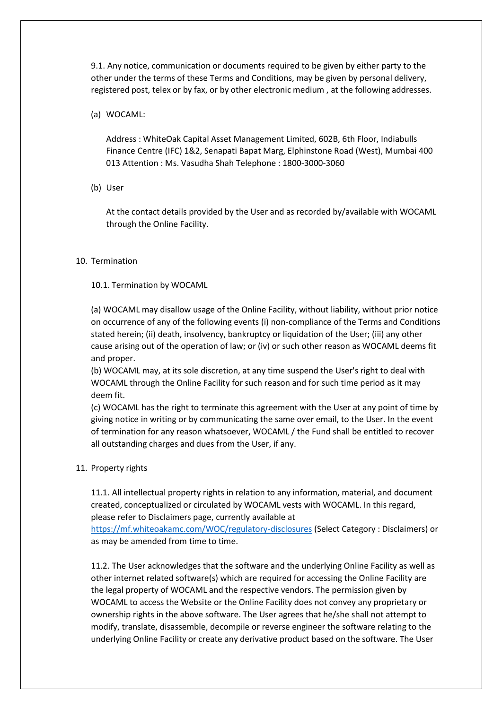9.1. Any notice, communication or documents required to be given by either party to the other under the terms of these Terms and Conditions, may be given by personal delivery, registered post, telex or by fax, or by other electronic medium , at the following addresses.

(a) WOCAML:

Address : WhiteOak Capital Asset Management Limited, 602B, 6th Floor, Indiabulls Finance Centre (IFC) 1&2, Senapati Bapat Marg, Elphinstone Road (West), Mumbai 400 013 Attention : Ms. Vasudha Shah Telephone : 1800-3000-3060

(b) User

At the contact details provided by the User and as recorded by/available with WOCAML through the Online Facility.

# 10. Termination

# 10.1. Termination by WOCAML

(a) WOCAML may disallow usage of the Online Facility, without liability, without prior notice on occurrence of any of the following events (i) non-compliance of the Terms and Conditions stated herein; (ii) death, insolvency, bankruptcy or liquidation of the User; (iii) any other cause arising out of the operation of law; or (iv) or such other reason as WOCAML deems fit and proper.

(b) WOCAML may, at its sole discretion, at any time suspend the User's right to deal with WOCAML through the Online Facility for such reason and for such time period as it may deem fit.

(c) WOCAML has the right to terminate this agreement with the User at any point of time by giving notice in writing or by communicating the same over email, to the User. In the event of termination for any reason whatsoever, WOCAML / the Fund shall be entitled to recover all outstanding charges and dues from the User, if any.

## 11. Property rights

11.1. All intellectual property rights in relation to any information, material, and document created, conceptualized or circulated by WOCAML vests with WOCAML. In this regard, please refer to Disclaimers page, currently available at

<https://mf.whiteoakamc.com/WOC/regulatory-disclosures> (Select Category : Disclaimers) or as may be amended from time to time.

11.2. The User acknowledges that the software and the underlying Online Facility as well as other internet related software(s) which are required for accessing the Online Facility are the legal property of WOCAML and the respective vendors. The permission given by WOCAML to access the Website or the Online Facility does not convey any proprietary or ownership rights in the above software. The User agrees that he/she shall not attempt to modify, translate, disassemble, decompile or reverse engineer the software relating to the underlying Online Facility or create any derivative product based on the software. The User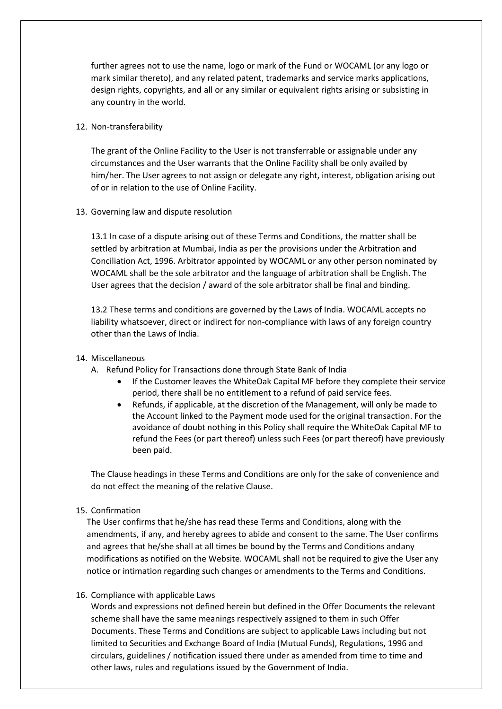further agrees not to use the name, logo or mark of the Fund or WOCAML (or any logo or mark similar thereto), and any related patent, trademarks and service marks applications, design rights, copyrights, and all or any similar or equivalent rights arising or subsisting in any country in the world.

## 12. Non-transferability

The grant of the Online Facility to the User is not transferrable or assignable under any circumstances and the User warrants that the Online Facility shall be only availed by him/her. The User agrees to not assign or delegate any right, interest, obligation arising out of or in relation to the use of Online Facility.

## 13. Governing law and dispute resolution

13.1 In case of a dispute arising out of these Terms and Conditions, the matter shall be settled by arbitration at Mumbai, India as per the provisions under the Arbitration and Conciliation Act, 1996. Arbitrator appointed by WOCAML or any other person nominated by WOCAML shall be the sole arbitrator and the language of arbitration shall be English. The User agrees that the decision / award of the sole arbitrator shall be final and binding.

13.2 These terms and conditions are governed by the Laws of India. WOCAML accepts no liability whatsoever, direct or indirect for non-compliance with laws of any foreign country other than the Laws of India.

## 14. Miscellaneous

- A. Refund Policy for Transactions done through State Bank of India
	- If the Customer leaves the WhiteOak Capital MF before they complete their service period, there shall be no entitlement to a refund of paid service fees.
	- Refunds, if applicable, at the discretion of the Management, will only be made to the Account linked to the Payment mode used for the original transaction. For the avoidance of doubt nothing in this Policy shall require the WhiteOak Capital MF to refund the Fees (or part thereof) unless such Fees (or part thereof) have previously been paid.

The Clause headings in these Terms and Conditions are only for the sake of convenience and do not effect the meaning of the relative Clause.

## 15. Confirmation

The User confirms that he/she has read these Terms and Conditions, along with the amendments, if any, and hereby agrees to abide and consent to the same. The User confirms and agrees that he/she shall at all times be bound by the Terms and Conditions andany modifications as notified on the Website. WOCAML shall not be required to give the User any notice or intimation regarding such changes or amendments to the Terms and Conditions.

### 16. Compliance with applicable Laws

Words and expressions not defined herein but defined in the Offer Documents the relevant scheme shall have the same meanings respectively assigned to them in such Offer Documents. These Terms and Conditions are subject to applicable Laws including but not limited to Securities and Exchange Board of India (Mutual Funds), Regulations, 1996 and circulars, guidelines / notification issued there under as amended from time to time and other laws, rules and regulations issued by the Government of India.